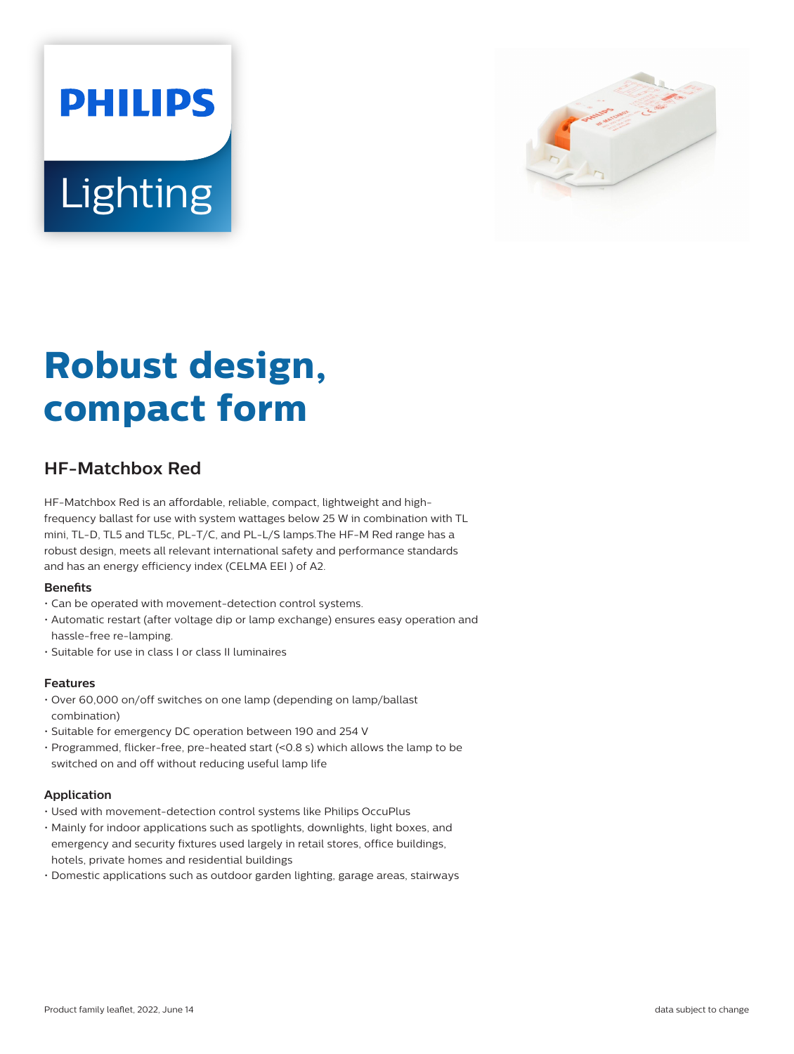



# **Robust design, compact form**

# **HF-Matchbox Red**

HF-Matchbox Red is an affordable, reliable, compact, lightweight and highfrequency ballast for use with system wattages below 25 W in combination with TL mini, TL-D, TL5 and TL5c, PL-T/C, and PL-L/S lamps.The HF-M Red range has a robust design, meets all relevant international safety and performance standards and has an energy efficiency index (CELMA EEI ) of A2.

## **Benets**

- Can be operated with movement-detection control systems.
- Automatic restart (after voltage dip or lamp exchange) ensures easy operation and hassle-free re-lamping.
- Suitable for use in class I or class II luminaires

## **Features**

- Over 60,000 on/off switches on one lamp (depending on lamp/ballast combination)
- Suitable for emergency DC operation between 190 and 254 V
- Programmed, flicker-free, pre-heated start (<0.8 s) which allows the lamp to be switched on and off without reducing useful lamp life

## **Application**

- Used with movement-detection control systems like Philips OccuPlus
- Mainly for indoor applications such as spotlights, downlights, light boxes, and emergency and security fixtures used largely in retail stores, office buildings, hotels, private homes and residential buildings
- Domestic applications such as outdoor garden lighting, garage areas, stairways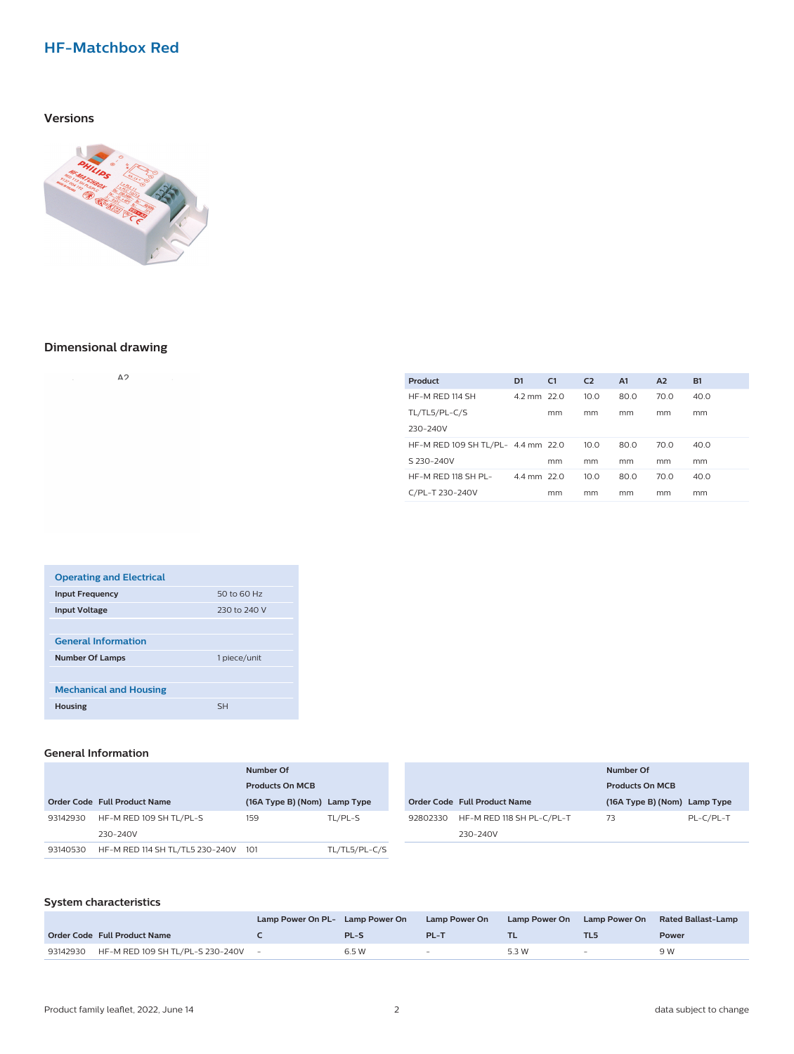# **HF-Matchbox Red**

# **Versions**



# **Dimensional drawing**

| and the control | Δ2 | the control of the con- |
|-----------------|----|-------------------------|
|                 |    |                         |

| Product                            | D <sub>1</sub> | C1 | C <sub>2</sub> | A <sub>1</sub> | A <sub>2</sub> | <b>B1</b> |
|------------------------------------|----------------|----|----------------|----------------|----------------|-----------|
| HF-M RED 114 SH                    | 4.2 mm 22.0    |    | 10.0           | 80.0           | 70.0           | 40.0      |
| TL/TL5/PL-C/S                      |                | mm | mm             | mm             | mm             | mm        |
| 230-240V                           |                |    |                |                |                |           |
| HF-M RED 109 SH TL/PL- 4.4 mm 22.0 |                |    | 10.0           | 80.0           | 70.0           | 40.0      |
| S 230-240V                         |                | mm | mm             | mm             | mm             | mm        |
| HF-M RED 118 SH PL-                | 4.4 mm 22.0    |    | 10.0           | 80.0           | 70.0           | 40.0      |
| C/PL-T 230-240V                    |                | mm | mm             | mm             | mm             | mm        |

| <b>Operating and Electrical</b> |              |
|---------------------------------|--------------|
| <b>Input Frequency</b>          | 50 to 60 Hz  |
| <b>Input Voltage</b>            | 230 to 240 V |
|                                 |              |
| <b>General Information</b>      |              |
| <b>Number Of Lamps</b>          | 1 piece/unit |
|                                 |              |
| <b>Mechanical and Housing</b>   |              |
| <b>Housing</b>                  | SН           |

#### **General Information**

| Number Of |                                     |                              |               |          | Number Of                    |                              |           |
|-----------|-------------------------------------|------------------------------|---------------|----------|------------------------------|------------------------------|-----------|
|           |                                     | <b>Products On MCB</b>       |               |          |                              | <b>Products On MCB</b>       |           |
|           | Order Code Full Product Name        | (16A Type B) (Nom) Lamp Type |               |          | Order Code Full Product Name | (16A Type B) (Nom) Lamp Type |           |
| 93142930  | HF-M RED 109 SH TL/PL-S             | 159                          | TL/PL-S       | 92802330 | HF-M RED 118 SH PL-C/PL-T    | 73                           | PL-C/PL-T |
|           | 230-240V                            |                              |               |          | 230-240V                     |                              |           |
| 93140530  | HF-M RED 114 SH TL/TL5 230-240V 101 |                              | TL/TL5/PL-C/S |          |                              |                              |           |

#### **System characteristics**

|          |                                    | Lamp Power On PL- Lamp Power On |       | Lamp Power On            | <b>Lamp Power On</b> | <b>Lamp Power On</b>     | Rated Ballast-Lamp |
|----------|------------------------------------|---------------------------------|-------|--------------------------|----------------------|--------------------------|--------------------|
|          | Order Code Full Product Name       |                                 | PL-S  | PL-1                     |                      |                          | <b>Power</b>       |
| 93142930 | HF-M RED 109 SH TL/PL-S 230-240V - |                                 | 6.5 W | $\overline{\phantom{a}}$ | 5.3 W                | $\overline{\phantom{0}}$ | 9 W                |